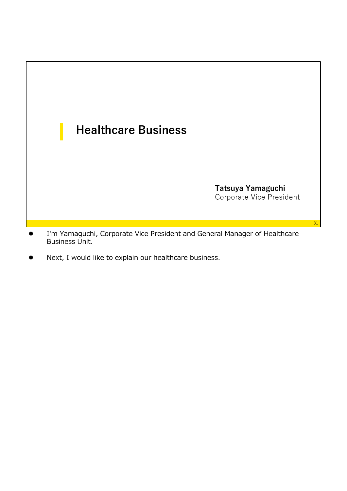

- I'm Yamaguchi, Corporate Vice President and General Manager of Healthcare Business Unit.
- Next, I would like to explain our healthcare business.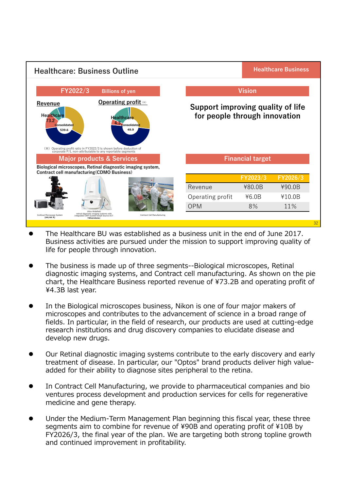

- The Healthcare BU was established as a business unit in the end of June 2017. Business activities are pursued under the mission to support improving quality of life for people through innovation.
- The business is made up of three segments--Biological microscopes, Retinal diagnostic imaging systems, and Contract cell manufacturing. As shown on the pie chart, the Healthcare Business reported revenue of ¥73.2B and operating profit of ¥4.3B last year.
- In the Biological microscopes business, Nikon is one of four major makers of microscopes and contributes to the advancement of science in a broad range of fields. In particular, in the field of research, our products are used at cutting-edge research institutions and drug discovery companies to elucidate disease and develop new drugs.
- Our Retinal diagnostic imaging systems contribute to the early discovery and early treatment of disease. In particular, our "Optos" brand products deliver high valueadded for their ability to diagnose sites peripheral to the retina.
- In Contract Cell Manufacturing, we provide to pharmaceutical companies and bio ventures process development and production services for cells for regenerative medicine and gene therapy.
- Under the Medium-Term Management Plan beginning this fiscal year, these three segments aim to combine for revenue of ¥90B and operating profit of ¥10B by FY2026/3, the final year of the plan. We are targeting both strong topline growth and continued improvement in profitability.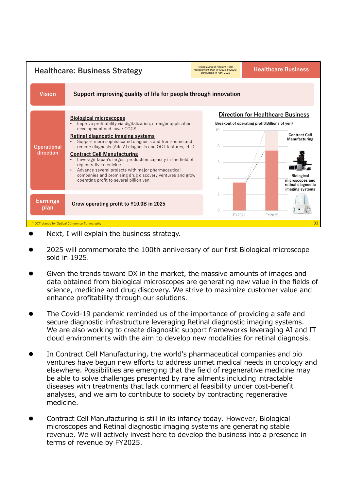

- Next, I will explain the business strategy.
- 2025 will commemorate the 100th anniversary of our first Biological microscope sold in 1925.
- Given the trends toward DX in the market, the massive amounts of images and data obtained from biological microscopes are generating new value in the fields of science, medicine and drug discovery. We strive to maximize customer value and enhance profitability through our solutions.
- The Covid-19 pandemic reminded us of the importance of providing a safe and secure diagnostic infrastructure leveraging Retinal diagnostic imaging systems. We are also working to create diagnostic support frameworks leveraging AI and IT cloud environments with the aim to develop new modalities for retinal diagnosis.
- In Contract Cell Manufacturing, the world's pharmaceutical companies and bio ventures have begun new efforts to address unmet medical needs in oncology and elsewhere. Possibilities are emerging that the field of regenerative medicine may be able to solve challenges presented by rare ailments including intractable diseases with treatments that lack commercial feasibility under cost-benefit analyses, and we aim to contribute to society by contracting regenerative medicine.
- Contract Cell Manufacturing is still in its infancy today. However, Biological microscopes and Retinal diagnostic imaging systems are generating stable revenue. We will actively invest here to develop the business into a presence in terms of revenue by FY2025.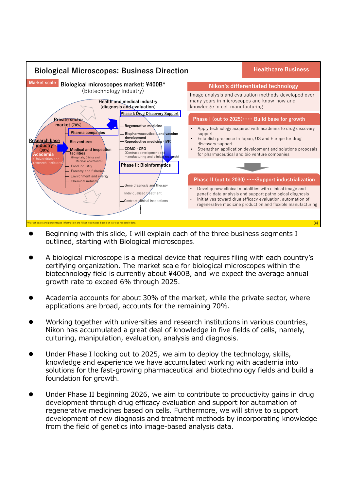

- Beginning with this slide, I will explain each of the three business segments I outlined, starting with Biological microscopes.
- A biological microscope is a medical device that requires filing with each country's certifying organization. The market scale for biological microscopes within the biotechnology field is currently about ¥400B, and we expect the average annual growth rate to exceed 6% through 2025.
- Academia accounts for about 30% of the market, while the private sector, where applications are broad, accounts for the remaining 70%.
- Working together with universities and research institutions in various countries, Nikon has accumulated a great deal of knowledge in five fields of cells, namely, culturing, manipulation, evaluation, analysis and diagnosis.
- Under Phase I looking out to 2025, we aim to deploy the technology, skills, knowledge and experience we have accumulated working with academia into solutions for the fast-growing pharmaceutical and biotechnology fields and build a foundation for growth.
- Under Phase II beginning 2026, we aim to contribute to productivity gains in drug development through drug efficacy evaluation and support for automation of regenerative medicines based on cells. Furthermore, we will strive to support development of new diagnosis and treatment methods by incorporating knowledge from the field of genetics into image-based analysis data.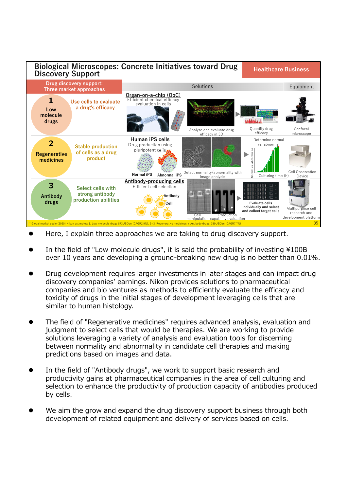

- Here, I explain three approaches we are taking to drug discovery support.
- In the field of "Low molecule drugs", it is said the probability of investing ¥100B over 10 years and developing a ground-breaking new drug is no better than 0.01%.
- Drug development requires larger investments in later stages and can impact drug discovery companies' earnings. Nikon provides solutions to pharmaceutical companies and bio ventures as methods to efficiently evaluate the efficacy and toxicity of drugs in the initial stages of development leveraging cells that are similar to human histology.
- The field of "Regenerative medicines" requires advanced analysis, evaluation and judgment to select cells that would be therapies. We are working to provide solutions leveraging a variety of analysis and evaluation tools for discerning between normality and abnormality in candidate cell therapies and making predictions based on images and data.
- In the field of "Antibody drugs", we work to support basic research and productivity gains at pharmaceutical companies in the area of cell culturing and selection to enhance the productivity of production capacity of antibodies produced by cells.
- We aim the grow and expand the drug discovery support business through both development of related equipment and delivery of services based on cells.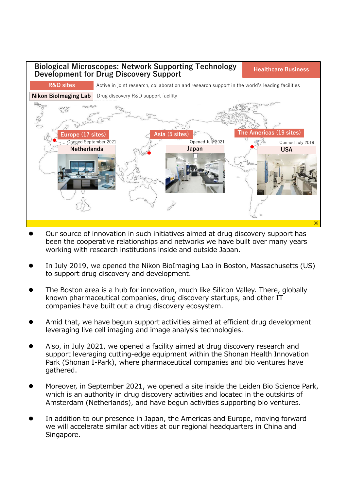

- Our source of innovation in such initiatives aimed at drug discovery support has been the cooperative relationships and networks we have built over many years working with research institutions inside and outside Japan.
- In July 2019, we opened the Nikon BioImaging Lab in Boston, Massachusetts (US) to support drug discovery and development.
- The Boston area is a hub for innovation, much like Silicon Valley. There, globally known pharmaceutical companies, drug discovery startups, and other IT companies have built out a drug discovery ecosystem.
- Amid that, we have begun support activities aimed at efficient drug development leveraging live cell imaging and image analysis technologies.
- Also, in July 2021, we opened a facility aimed at drug discovery research and support leveraging cutting-edge equipment within the Shonan Health Innovation Park (Shonan I-Park), where pharmaceutical companies and bio ventures have gathered.
- Moreover, in September 2021, we opened a site inside the Leiden Bio Science Park, which is an authority in drug discovery activities and located in the outskirts of Amsterdam (Netherlands), and have begun activities supporting bio ventures.
- In addition to our presence in Japan, the Americas and Europe, moving forward we will accelerate similar activities at our regional headquarters in China and Singapore.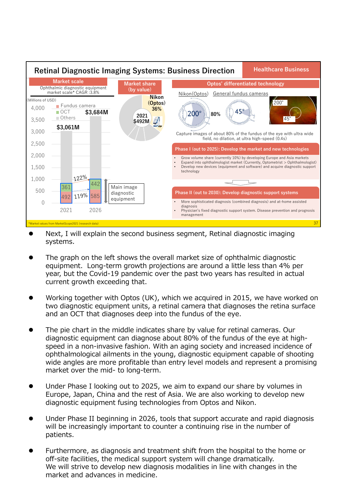

- Next, I will explain the second business segment, Retinal diagnostic imaging systems.
- The graph on the left shows the overall market size of ophthalmic diagnostic equipment. Long-term growth projections are around a little less than 4% per year, but the Covid-19 pandemic over the past two years has resulted in actual current growth exceeding that.
- Working together with Optos (UK), which we acquired in 2015, we have worked on two diagnostic equipment units, a retinal camera that diagnoses the retina surface and an OCT that diagnoses deep into the fundus of the eye.
- The pie chart in the middle indicates share by value for retinal cameras. Our diagnostic equipment can diagnose about 80% of the fundus of the eye at highspeed in a non-invasive fashion. With an aging society and increased incidence of ophthalmological ailments in the young, diagnostic equipment capable of shooting wide angles are more profitable than entry level models and represent a promising market over the mid- to long-term.
- Under Phase I looking out to 2025, we aim to expand our share by volumes in Europe, Japan, China and the rest of Asia. We are also working to develop new diagnostic equipment fusing technologies from Optos and Nikon.
- Under Phase II beginning in 2026, tools that support accurate and rapid diagnosis will be increasingly important to counter a continuing rise in the number of patients.
- Furthermore, as diagnosis and treatment shift from the hospital to the home or off-site facilities, the medical support system will change dramatically. We will strive to develop new diagnosis modalities in line with changes in the market and advances in medicine.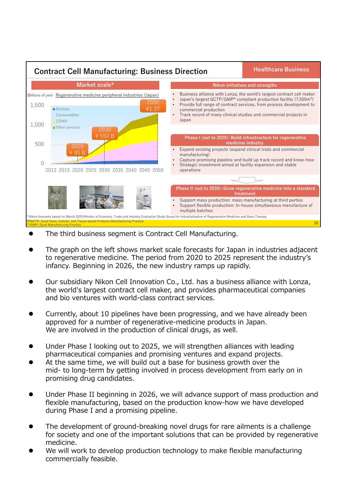

- The third business segment is Contract Cell Manufacturing.
- The graph on the left shows market scale forecasts for Japan in industries adjacent to regenerative medicine. The period from 2020 to 2025 represent the industry's infancy. Beginning in 2026, the new industry ramps up rapidly.
- Our subsidiary Nikon Cell Innovation Co., Ltd. has a business alliance with Lonza, the world's largest contract cell maker, and provides pharmaceutical companies and bio ventures with world-class contract services.
- Currently, about 10 pipelines have been progressing, and we have already been approved for a number of regenerative-medicine products in Japan. We are involved in the production of clinical drugs, as well.
- Under Phase I looking out to 2025, we will strengthen alliances with leading pharmaceutical companies and promising ventures and expand projects.
- At the same time, we will build out a base for business growth over the mid- to long-term by getting involved in process development from early on in promising drug candidates.
- Under Phase II beginning in 2026, we will advance support of mass production and flexible manufacturing, based on the production know-how we have developed during Phase I and a promising pipeline.
- The development of ground-breaking novel drugs for rare ailments is a challenge for society and one of the important solutions that can be provided by regenerative medicine.
- We will work to develop production technology to make flexible manufacturing commercially feasible.